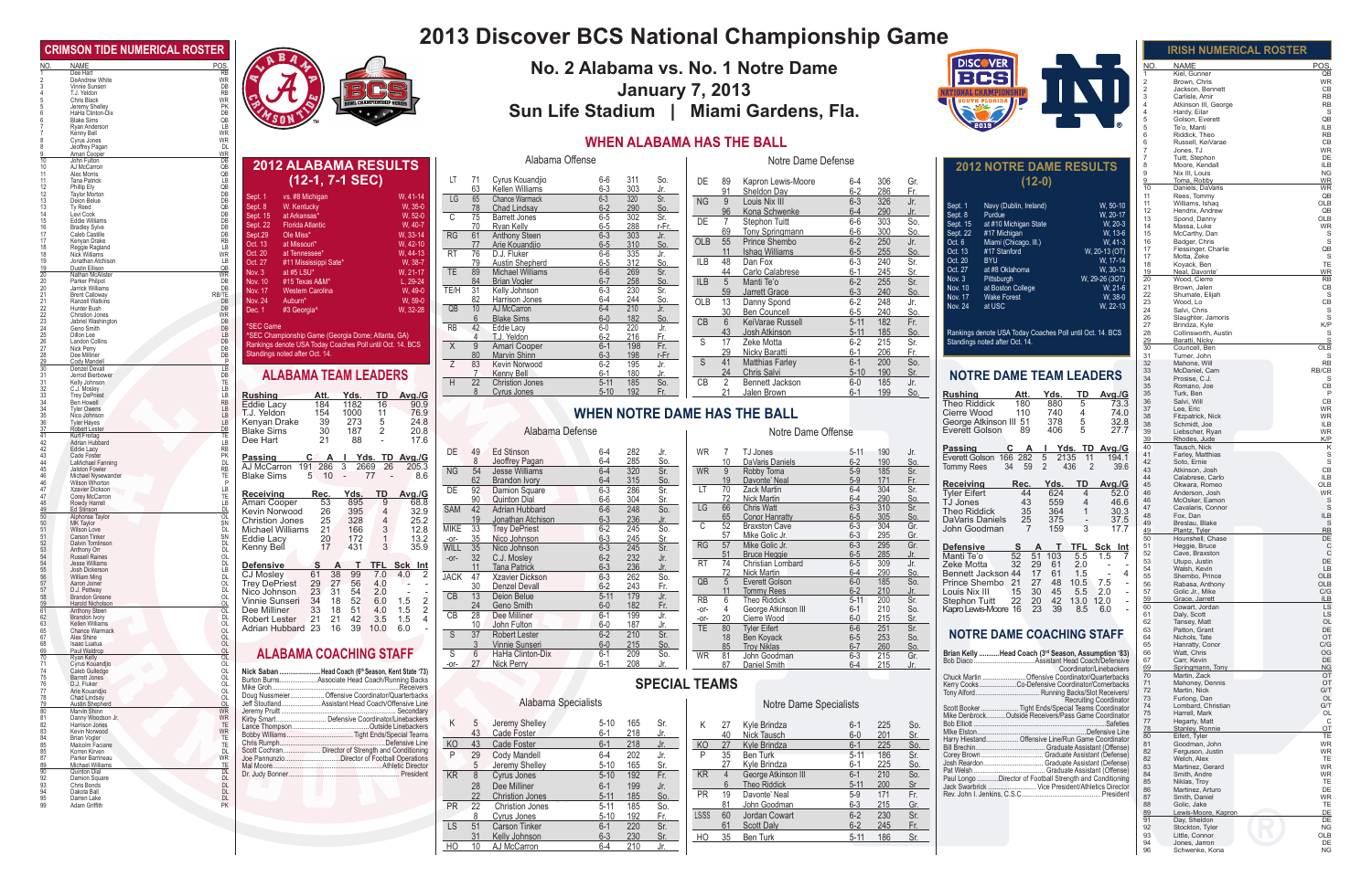**Rushing Att. Yds. TD Avg./G** Eddie Lacy 184 1182 16 90.9 **Rushing Att. Yds. TD Avg./G**<br>
Eddie Lacy 184 1182 16 90.9<br>
T.J. Yeldon 154 1000 11 76.9<br>
Kenyan Drake 39 273 5 24.8<br>
Blake Sims 30 187 2 20.8

Blake Sims 30 187 2 20.8<br>Dee Hart 21 88 - 17.6

**2012 ALABAMA RESULTS (12-1, 7-1 SEC)** Sept. 1 vs. #8 Michigan W, 41-14 Sept. 8 W. Kentucky W, 35-0 Sept. 8 W. Kentucky W, 35-0<br>
Sept. 15 at Arkansas\* W, 52-0 Sept. 15 at Arkansas<sup>\*</sup> W, 52-0<br>
Sept. 22 Florida Atlantic W, 40-7 Florida Atlantic W, 40-7<br>Ole Miss\* W, 33-14 Sept.29 Ole Miss\* W, 33-14<br>Oct. 13 at Missouri\* W, 42-10 Oct. 13 at Missouri\* W, 42-10<br>
Oct. 20 at Tennessee\* W, 44-13 Oct. 20 at Tennessee\* W, 44-13<br>
Oct. 27 #11 Mississippi Sate\* W, 38-7 #11 Mississippi Sate\* W, 38-7<br>at #5 LSU\* W, 21-17 Nov. 3 at #5 LSU\* W, 21-17<br>Nov. 10 #15 Texas A&M\* L, 29-24

**ALABAMA TEAM LEADERS**

**Passing C A I Yds. TD Avg./G** AJ McCarron 191 286 3 2669 26 205.3 Blake Sims 5 10 - 77 - 8.6

**Receiving Rec. Yds. TD Avg./G**<br>
Amari Cooper 53 895 9 68.8<br>
Kevin Norwood 26 395 4 32.9<br>
Christion Jones 25 328 4 25.2<br>
Michael Williams 21 166 3 12.8<br>
Eddie Lacy 20 172 1 13.2

Eddie Lacy 20 172 1 13.2<br>
Kenny Bell 17 431 3 35.9

**Defensive S A T TFL Sck Int** CJ Mosley 61 38 99 7.0 4.0 2 Trey DePriest 29 27 56 4.0 - - Nico Johnson 23 31 54 2.0 - - Vinnie Sunseri 34 18 52 6.0 1.5 2 Dee Milliner 33 18 51 4.0 1.5 2 Robert Lester 21 21 42 3.5 1.5 4 Adrian Hubbard 23 16 39 10.0 6.0 -

\*SEC Game

Nov. 10 #15 Texas A&M\* Nov. 17 Western Carolina<br>Nov. 24 Auburn\*

#3 Georgia^

^SEC Championship Game (Georgia Dome; Atlanta, GA) Rankings denote USA Today Coaches Poll until Oct. 14. BCS

Nov. 17 Western Carolina (Vi. 49-0)<br>Nov. 24 Auburn\* W, 59-0<br>Dec. 1 #3 Georgia^ (W, 32-28

Standings noted after Oct. 14.

Kenny Bell

Dr. Judy Bonner...

## **2013 Discover BCS National Championship Game**

### **WHEN A**

|             |                      |                                                                                              |                                                                                                                                                                                                                      |                 | <b>IRISH NUMERICAL ROSTER</b>                                |
|-------------|----------------------|----------------------------------------------------------------------------------------------|----------------------------------------------------------------------------------------------------------------------------------------------------------------------------------------------------------------------|-----------------|--------------------------------------------------------------|
|             |                      |                                                                                              | <b>DISCOVER</b><br>No. 2 Alabama vs. No. 1 Notre Dame                                                                                                                                                                | NO.             | <b>NAME</b><br>POS.                                          |
|             |                      |                                                                                              | CSI                                                                                                                                                                                                                  | 2               | Kiel, Gunner<br>QB<br><b>WR</b><br>Brown, Chris              |
|             |                      |                                                                                              | <b>January 7, 2013</b><br>INI<br><b>VATIONAL CHAMPIONSHIP</b>                                                                                                                                                        | 2               | Jackson, Bennett<br>CB<br><b>RB</b>                          |
|             |                      |                                                                                              | SOUTH FLORIDA II<br>$\leq$                                                                                                                                                                                           |                 | Carlisle, Amir<br><b>RB</b><br>Atkinson III, George          |
|             |                      |                                                                                              | Sun Life Stadium   Miami Gardens, Fla.                                                                                                                                                                               | 5               | S<br>Hardy, Eilar<br>QB<br>Golson, Everett                   |
|             |                      |                                                                                              |                                                                                                                                                                                                                      |                 | <b>ILB</b><br>Te'o, Manti                                    |
|             |                      |                                                                                              | <b>WHEN ALABAMA HAS THE BALL</b>                                                                                                                                                                                     |                 | <b>RB</b><br>Riddick, Theo<br>CB<br>Russell, KeiVarae        |
|             |                      |                                                                                              |                                                                                                                                                                                                                      |                 | <b>WR</b><br>Jones, TJ                                       |
|             |                      | Alabama Offense                                                                              | Notre Dame Defense<br><b>2012 NOTRE DAME RESULTS</b>                                                                                                                                                                 |                 | DE<br>Tuitt, Stephon<br><b>ILB</b><br>Moore, Kendall         |
|             |                      |                                                                                              |                                                                                                                                                                                                                      |                 | Nix III, Louis<br><b>NG</b>                                  |
| LT          | -71<br>63            | Cyrus Kouandjio<br>6-6<br>311<br>So.<br>$6 - 3$<br>303<br>Kellen Williams<br>Jr.             | $(12-0)$<br>DE.<br>306<br>Gr.<br>-89<br>Kapron Lewis-Moore<br>6-4                                                                                                                                                    | 10              | <b>WR</b><br>Toma, Robby<br>Daniels, DaVaris<br><b>WR</b>    |
| LG          | 65                   | $6 - 3$<br>320<br>Sr.<br><b>Chance Warmack</b>                                               | 91<br>Sheldon Day<br>$6-2$<br>286<br>Fr.<br>Louis Nix III<br><b>NG</b><br>$6 - 3$<br>326<br>Jr.<br>9                                                                                                                 | 11              | QB<br>Rees, Tommy                                            |
|             | 78                   | <b>Chad Lindsav</b><br>$6 - 2$<br>290<br><u>So.</u>                                          | Navy (Dublin, Ireland)<br>W, 50-10<br>Sept. 1<br>96<br>Kona Schwenke<br>290<br>$6 - 4$<br>Jr.                                                                                                                        | 11<br>12        | OLB<br>Williams, Ishaq<br>QB<br>Hendrix, Andrew              |
| C           | 75                   | 302<br><b>Barrett Jones</b><br>$6-5$<br>Sr.                                                  | Sept. 8<br>W, 20-17<br>Purdue<br>303<br>DE<br>Stephon Tuitt<br>$6-6$<br>So.<br>7<br>at #10 Michigan State<br>Sept. 15<br>W, 20-3                                                                                     | 13              | OLB<br>Spond, Danny                                          |
| <b>RG</b>   | 70<br>61             | 288<br>$6-5$<br>r-Fr.<br>Ryan Kelly<br>Anthony Steen<br>$6 - 3$<br>303<br>Jr.                | 69<br>Tony Springmann<br>$6-6$<br>300<br><u>So.</u><br>Sept. 22<br>#17 Michigan<br>W. 13-6                                                                                                                           | 14<br>15        | <b>WR</b><br>Massa, Luke<br>McCarthy, Dan                    |
|             | 77                   | 310<br>$6-5$<br>Arie Kouandjio<br><u>So.</u>                                                 | 55<br>Prince Shembo<br>$6 - 2$<br>250<br>Jr.<br><b>OLB</b><br>Oct. 6<br>Miami (Chicago, III.)<br>W. 41-3                                                                                                             | 16              | S<br>Badger, Chris                                           |
| <b>RT</b>   | 76                   | D.J. Fluker<br>335<br>$6-6$<br>Jr.                                                           | <b>Ishaq Williams</b><br>#17 Stanford<br>11<br>$6-5$<br>255<br>Oct. 13<br>W, 20-13 (OT)<br>So.                                                                                                                       | 17<br>17        | Fiessinger, Charlie<br>QB<br>Motta, Zeke<br>S                |
| TE          | 79<br>89             | $6-5$<br>312<br>So.<br><b>Austin Shepherd</b><br>$6 - 6$<br>269<br>Michael Williams          | 240<br>Oct. 20<br><b>BYU</b><br>48<br>Dan Fox<br>$6 - 3$<br>Sr.<br>W. 17-14<br><b>ILB</b><br>Oct. 27<br>at #8 Oklahoma<br>W, 30-13<br>44<br>Carlo Calabrese<br>$6 - 1$<br>245                                        | 18              | TE<br>Koyack, Ben                                            |
|             | 84                   | Sr.<br>258<br><b>Brian Vogler</b><br>$6 - 7$<br>So.                                          | Sr.<br>W, 29-26 (3OT)<br>Nov. $3$<br>Pittsburgh<br>ILB<br>5<br>Manti Te'o<br>$6 - 2$<br>255<br>Sr.                                                                                                                   | 19<br>20        | Neal, Davonte<br><b>WR</b><br>Wood, Cierre<br>RB             |
| TE/H        | - 31                 | $6 - 3$<br>230<br>Kelly Johnson<br>Sr.                                                       | at Boston College<br>Nov. 10<br>W, 21-6<br>59<br>Jarrett Grace<br>$6 - 3$<br>240<br>So.                                                                                                                              | 21<br>22        | CB<br>Brown, Jalen<br>Shumate, Elijah<br>-S                  |
|             | 82                   | 244<br>$6 - 4$<br><u>So.</u><br>Harrison Jones                                               | <b>Wake Forest</b><br>Nov. 17<br>W, 38-0<br>248<br>OLB<br>13<br>Danny Spond<br>$6 - 2$<br>Jr.<br>Nov. 24<br>at USC<br>W. 22-13                                                                                       | 23              | CB<br>Wood, Lo                                               |
| QB          | 10 <sup>°</sup><br>6 | $6 - 4$<br>210<br>AJ McCarron<br>Jr.<br><b>Blake Sims</b><br>$6-0$<br>182                    | Ben Councell<br>30<br>$6-5$<br>240<br>So.                                                                                                                                                                            | 24<br>26        | Salvi, Chris<br>Slaughter, Jamoris<br>S                      |
| <b>RB</b>   | 42                   | <u>So.</u><br>220<br>$6-0$<br>Eddie Lacy<br>Jr.                                              | KeiVarae Russell<br>182<br>Fr.<br>CB<br>6<br>$5 - 11$                                                                                                                                                                | 27              | K/P<br>Brindza, Kyle                                         |
|             | $\overline{4}$       | $6-2$<br>T.J. Yeldon<br>216<br>Fr.                                                           | 43<br>Josh Atkinson<br>$5 - 11$<br>185<br>So.<br>Rankings denote USA Today Coaches Poll until Oct. 14. BCS<br>215<br>S<br>17<br>Zeke Motta<br>$6 - 2$<br>Standings noted after Oct. 14.                              | 28<br>29        | Collinsworth, Austin<br>S<br>Baratti, Nicky                  |
| $\times$    | 9                    | $6 - 1$<br>198<br>Amari Cooper<br>Fr.                                                        | Sr.<br>29<br>Nicky Baratti<br>$6 - 1$<br>206<br>Fr.                                                                                                                                                                  | 30              | OLB<br>Councell, Ben                                         |
| Z           | 80<br>83             | <b>Marvin Shinn</b><br>$6 - 3$<br>198<br>r-Fr<br>$6-2$<br>195<br><b>Kevin Norwood</b><br>Jr. | So.<br><b>Matthias Farley</b><br>$6 - 1$<br>200<br>-S<br>41                                                                                                                                                          | 31<br>32        | Turner, John<br>S<br><b>RB</b><br>Mahone, Will               |
|             | $\overline{7}$       | Kenny Bell<br>$6 - 1$<br>180<br>Jr.                                                          | 24<br>190<br><b>Chris Salvi</b><br>$5 - 10$<br>Sr.<br><b>NOTRE DAME TEAM LEADERS</b>                                                                                                                                 | 33              | McDaniel, Cam<br>RB/CB                                       |
| H           | 22                   | 185<br><b>Christion Jones</b><br>$5 - 11$<br>So.                                             | CB<br>2<br>Bennett Jackson<br>$6-0$<br>185<br>Jr.                                                                                                                                                                    | 34<br>35        | Prosise, C.J.<br>S<br>CB<br>Romano, Joe                      |
|             | 8                    | $5 - 10$<br>192<br>Fr.<br>Cyrus Jones                                                        | 21<br>Jalen Brown<br>199<br>6-1<br>So.<br><b>Rushing</b><br>Yds.<br><u>TD</u><br><u>Att.</u><br><u>Avg./G</u>                                                                                                        | $35\,$          | Turk, Ben<br>P                                               |
|             |                      |                                                                                              | <b>Theo Riddick</b><br>180<br>880<br>5<br>73.3<br><b>WHEN NOTRE DAME HAS THE BALL</b><br>Cierre Wood<br>110<br>740<br>$\overline{4}$                                                                                 | 36<br>37        | Salvi, Will<br>CB<br><b>WR</b><br>Lee, Eric                  |
|             |                      |                                                                                              | 74.0<br>378<br>5<br>George Atkinson III 51<br>32.8                                                                                                                                                                   | 38<br>38        | Fitzpatrick, Nick<br><b>WR</b><br><b>ILB</b><br>Schmidt, Joe |
|             |                      | Alabama Defense                                                                              | 89<br>406<br>Everett Golson<br>5<br>27.7<br>Notre Dame Offense                                                                                                                                                       | 39              | <b>WR</b><br>Liebscher, Ryan                                 |
|             |                      |                                                                                              | C<br>A                                                                                                                                                                                                               | 39<br>40        | K/P<br>Rhodes, Jude<br>Tausch, Nick<br>Κ                     |
| DE.         | 49                   | Ed Stinson<br>282<br>Jr.<br>$6 - 4$                                                          | Yds. TD Avg./G<br>Passing<br><b>WR</b><br>TJ Jones<br>190<br>$5-11$<br>Jr.<br>Everett Golson 166 282<br>5<br>2135<br>11<br>194.1                                                                                     | 41              | S<br>Farley, Matthias                                        |
| NG          | 8<br>54              | $6 - 4$<br>Jeoffrey Pagan<br>285<br>So.<br>$6 - 4$<br>320<br><b>Jesse Williams</b><br>Sr.    | 10<br>DaVaris Daniels<br>$6 - 2$<br>190<br><u>So.</u><br>59<br>2<br>436<br><b>Tommy Rees</b><br>34<br>2<br>39.6<br>185<br>WR<br>9<br>Robby Toma<br>$5-9$<br>Sr.                                                      | 42<br>43        | S<br>Soto, Ernie<br>CB<br>Atkinson, Josh                     |
|             | 62                   | <b>Brandon Ivory</b><br>$6 - 4$<br>315<br>So.                                                | 19<br>Davonte' Neal<br>$5-9$<br>171<br>Fr.<br>Receiving<br>Yds.<br>TD<br>Rec.<br>Avg./G                                                                                                                              | 44<br>45        | <b>ILB</b><br>Calabrese, Carlo<br>OLB<br>Okwara, Romeo       |
| DE          | 92                   | $6 - 3$<br>286<br>Damion Square<br>Sr.                                                       | 70<br><b>Zack Martin</b><br>$6 - 4$<br>304<br>Sr.<br>LT.<br><b>Tyler Eifert</b><br>44<br>624<br>52.0<br>$\overline{4}$                                                                                               | 46              | <b>WR</b><br>Anderson, Josh                                  |
|             | 90                   | <b>Quinton Dial</b><br>304<br>$6-6$<br>Sr.                                                   | 72<br>Nick Martin<br>$6 - 4$<br>290<br>So.<br>TJ Jones<br>43<br>559<br>$\overline{4}$<br>46.6<br>$6 - 3$<br>310<br>LG<br>66<br><b>Chris Watt</b><br>Sr.                                                              | 46<br>47        | McOsker, Eamon<br>S<br>S<br>Cavalaris, Connor                |
| <b>SAM</b>  | 42<br>19             | Adrian Hubbard<br>$6-6$<br>248<br>So.<br>$6 - 3$<br>236<br>Jonathan Atchison<br>Jr.          | 35<br>364<br><b>Theo Riddick</b><br>$\mathbf{1}$<br>30.3<br>65<br><b>Conor Hanratty</b><br>$6-5$<br>305<br>So.<br>25<br>375<br>DaVaris Daniels<br>37.5                                                               | 48              | <b>ILB</b><br>Fox, Dan                                       |
| <b>MIKE</b> | 33                   | $\overline{245}$<br>$6 - 2$<br><b>Trey DePriest</b><br>So.                                   | 304<br>C<br>52<br>$6 - 3$<br>Gr.<br><b>Braxston Cave</b><br>3<br>$\overline{7}$<br>159<br>John Goodman<br>17.7                                                                                                       | 49<br>49        | Breslau, Blake<br>S<br>RB<br>Plantz. Tyler                   |
| $-0f-$      |                      | $6 - 3$<br>245<br>35 Nico Johnson<br>Sr.                                                     | 295<br>57<br>Mike Golic Jr.<br>$6 - 3$<br>Gr.<br>295                                                                                                                                                                 | 50              | DE<br>Hounshell, Chase                                       |
|             |                      | WILL 35 Nico Johnson<br>$6 - 3$<br>245<br>Sr.                                                | <b>RG</b><br>57<br>Mike Golic Jr.<br>$6 - 3$<br>Gr.<br>S A T TFL Sck Int<br><b>Defensive</b><br><b>Bruce Heggie</b><br>285<br>51<br>$6 - 5$<br>Jr.<br>52<br>Manti Te'o<br>51<br>103<br>5.5<br>1.5                    | 51<br>52        | Heggie, Bruce<br>C<br>Cave, Braxston<br>C                    |
| $-0r-$      | 32<br>11             | $6 - 2$<br>232<br>C.J. Mosley<br>Jr.<br>236<br><b>Tana Patrick</b><br>$6 - 3$<br>Jr.         | 309<br>$6 - 5$<br><b>RT</b><br>74<br>Christian Lombard<br>Jr.<br>32<br>Zeke Motta<br>29<br>61<br>2.0                                                                                                                 | 53              | DE<br>Utupo, Justin                                          |
| JACK        | 47                   | Xzavier Dickson<br>$6 - 3$<br>262<br>So.                                                     | 72<br>290<br>Nick Martin<br>$6 - 4$<br>So.<br>1.5<br>$\overline{4}$<br>Bennett Jackson 44<br>17<br>61<br>$\overline{\phantom{a}}$                                                                                    | 54<br>55        | Walsh, Kevin<br>LB<br>Shembo, Prince<br>OLB                  |
|             | 30                   | <b>Denzel Devall</b><br>$6 - 2$<br>243<br>Fr.                                                | $6 - 0$<br>QB<br>$5\overline{)}$<br>Everett Golson<br>185<br>So.<br>Prince Shembo 21<br>27<br>48<br>7.5<br>10.5<br><b>Tommy Rees</b><br>$6 - 2$<br>210<br>2.0<br>11<br>Louis Nix III<br>15<br>30<br>45<br>5.5<br>Jr. | 56<br>57        | Rabasa, Anthony<br>OLB<br>Golic Jr., Mike<br>C/G             |
| CB          | 13                   | Jr.<br>Deion Belue<br>$5 - 11$<br>179                                                        | 200<br><b>RB</b><br>6<br>Theo Riddick<br>$5 - 11$<br>Sr.<br>22<br>42<br>20<br>12.0<br>Stephon Tuitt<br>13.0                                                                                                          | $\frac{59}{60}$ | Grace, Jarrett<br>ILB                                        |
| CB          | 24<br>28             | Geno Smith<br>$6-0$<br>182<br>Fr.<br>$6 - 1$<br>199<br>Dee Milliner<br>Jr.                   | 23<br>39<br>$\overline{4}$<br>George Atkinson III<br>$6 - 1$<br>210<br>So.<br>Kapro Lewis-Moore 16<br>8.5<br>6.0<br>$-0r-$                                                                                           | 61              | Cowart, Jordan<br><b>LS</b><br>Daly, Scott<br>LS             |
|             | 10                   | $6-0$<br>187<br>John Fulton<br>Jr.                                                           | Cierre Wood<br>$6-0$<br>215<br>20<br>Sr.<br>$-0r-$<br>251<br>80<br><b>Tyler Eifert</b><br>$6-6$<br>Sr.<br>TE                                                                                                         | 62              | OL<br>Tansey, Matt                                           |
| S           | 37                   | $\overline{210}$<br>$6 - 2$<br><b>Robert Lester</b><br>Sr.                                   | <b>NOTRE DAME COACHING STAFF</b><br>18<br>253<br>Ben Koyack<br>$6 - 5$<br>So.                                                                                                                                        | 63<br>64        | Patton, Grant<br>DE<br>Nichols, Tate<br>OT                   |
|             | $\mathcal{R}$        | Vinnie Sunseri<br>$6-0$<br>215<br>So.                                                        | 260<br>85<br><b>Troy Niklas</b><br>$6 - 7$<br>So.                                                                                                                                                                    | 65              | C/G<br>Hanratty, Conor                                       |
| S           | 6<br>27              | 209<br>HaHa Clinton-Dix<br>$6 - 1$<br>So.<br>Nick Perry<br>$6 - 1$<br>208<br>Jr.             | Brian Kelly Head Coach (3rd Season, Assumption '83)<br>215<br><b>WR</b><br>81<br>$6 - 3$<br>Gr.<br>John Goodman                                                                                                      | 66<br>67        | OG<br>Watt, Chris<br>DE<br>Carr. Kevin                       |
| $-0r-$      |                      |                                                                                              | 87<br>Daniel Smith<br>$6 - 4$<br>215<br>Jr.<br>Coordinator/Linebackers                                                                                                                                               | 69<br>70        | Springmann, Tony<br>NG<br>OT<br>Martin, Zack                 |
|             |                      |                                                                                              | Chuck Martin<br>. Offensive Coordinator/Quarterbacks<br><b>SPECIAL TEAMS</b><br>Kerry CooksCo-Defensive Coordinator/Cornerbacks                                                                                      | 71              | Mahoney, Dennis<br>OT                                        |
|             |                      |                                                                                              | Running Backs/Slot Receivers/<br>Tony Alford                                                                                                                                                                         | 72<br>73        | G/T<br>Martin, Nick<br>Furlong, Dan<br>OL                    |
|             |                      | Alabama Specialists                                                                          | Recruiting Coordinator<br>Notre Dame Specialists<br>Tight Ends/Special Teams Coordinator<br>Scott Booker                                                                                                             | 74<br>75        | G/T<br>Lombard, Christian<br>Harrell, Mark<br><b>OL</b>      |
| K           | 5                    | Jeremy Shelley<br>$5 - 10$<br>165<br>Sr.                                                     | Mike DenbrockOutside Receivers/Pass Game Coordinator<br>Bob Elliott<br>Kyle Brindza<br>225<br>.Safeties<br>K<br>27<br>$6 - 1$<br>So.                                                                                 | 77              | C<br>Hegarty, Matt                                           |
|             | 43                   | 218<br>Cade Foster<br>$6 - 1$<br>Jr.                                                         | MIke Elston<br>Defensive Line<br>Nick Tausch<br>201<br>40<br>$6-0$<br>Sr.                                                                                                                                            | 78<br>80        | Stanley, Ronnie<br>OT<br>Eifert, Tyler<br>TE                 |
| KO          | 43                   | $6 - 1$<br>218<br>Jr.<br>Cade Foster                                                         | Harry Hiestand Offensive Line/Run Game Coordinator<br><b>KO</b><br>Kyle Brindza<br>225<br>So.<br>27<br>$6 - 1$<br>. Graduate Assistant (Offense)                                                                     | 81              | Goodman, John<br><b>WR</b>                                   |
| P           | 29                   | <b>Cody Mandell</b><br>$6-4$<br>202<br>Jr.                                                   | 35<br>186<br>P<br><b>Ben Turk</b><br>$5 - 11$<br>Sr.                                                                                                                                                                 | 82<br>82        | <b>WR</b><br>Ferguson, Justin<br>Welch, Alex<br>TE           |
|             | $\overline{5}$       | Jeremy Shelley<br>$5 - 10$<br>165<br>Sr.                                                     | Josh Reardon  Graduate Assistant (Defense)<br>27<br>225<br>Kyle Brindza<br>$6 - 1$<br>So.                                                                                                                            | 83              | <b>WR</b><br>Martinez, Gerard                                |
| KR          | 8                    | $5 - 10$<br>192<br>Cyrus Jones<br>Fr.<br>Dee Milliner                                        | KR<br>George Atkinson III<br>210<br>$6 - 1$<br>So.<br>$\overline{4}$<br>Paul Longo Director of Football Strength and Conditioning<br>6<br><b>Theo Riddick</b><br>200<br>$5 - 11$<br>Sr                               | 84<br>85        | <b>WR</b><br>Smith, Andre<br>Niklas, Troy<br>TE              |
|             | 28<br>22             | 199<br>Jr.<br>$6 - 1$<br>$5 - 11$<br>185<br><u>So.</u><br><b>Christion Jones</b>             | PR.<br>19<br>Davonte' Neal<br>$5-9$<br>171<br>Fr.<br>President                                                                                                                                                       | 86<br>87        | DE<br>Martinez, Arturo<br>WR<br>Smith, Daniel                |
| <b>PR</b>   | 22                   | <b>Christion Jones</b><br>$5 - 11$<br>185<br>So.                                             | 81<br>John Goodman<br>$6 - 3$<br>215<br>Gr.                                                                                                                                                                          | 88              | TE<br>Golic, Jake                                            |
|             | 8                    | 192<br>Cyrus Jones<br>$5 - 10$<br>Fr.                                                        | LS/SS<br>60<br>$6 - 2$<br>230<br>Sr.<br>Jordan Cowart                                                                                                                                                                | 89<br>91        | Lewis-Moore, Kapron<br>DE<br>DE<br>Day, Sheldon              |
| <b>LS</b>   | 51                   | Sr.<br>Carson Tinker<br>$6 - 1$<br>220                                                       | 61<br><b>Scott Daly</b><br>$6 - 2$<br>245<br>Fr.                                                                                                                                                                     | 92              | <b>NG</b><br>Stockton, Tyler                                 |
| HO          | 31<br>10             | Kelly Johnson<br>$6 - 3$<br>230<br>Sr.<br>AJ McCarron<br>$6-4$<br>210<br>Jr.                 | H <sub>O</sub><br>35<br>Ben Turk<br>$5-11$<br>186<br>Sr.                                                                                                                                                             | 93<br>94        | Little, Connor<br>OLB<br>DE<br>Jones, Jarron                 |
|             |                      |                                                                                              |                                                                                                                                                                                                                      | 96              | <b>NG</b><br>Schwenke, Kona                                  |

| Κ              | 27<br>40 | Kyle Brindza<br>Nick Tausch | $6 - 1$<br>$6-0$ | 225<br>201 | So.<br>Sr. |
|----------------|----------|-----------------------------|------------------|------------|------------|
| K <sub>O</sub> | 27       | Kyle Brindza                | $6 - 1$          | 225        | So.        |
| P              | 35       | <b>Ben Turk</b>             | $5 - 11$         | 186        | Sr.        |
|                | 27       | Kyle Brindza                | $6-1$            | 225        | So.        |
| <b>KR</b>      | 4        | George Atkinson III         | $6 - 1$          | 210        | So.        |
|                | 6        | <b>Theo Riddick</b>         | $5 - 11$         | 200        | Sr         |
| <b>PR</b>      | 19       | Davonte' Neal               | $5-9$            | 171        | Fr.        |
|                | 81       | John Goodman                | $6 - 3$          | 215        | Gr.        |
| <b>LS/SS</b>   | 60       | Jordan Cowart               | $6-2$            | 230        | Sr.        |
|                | 61       | <b>Scott Daly</b>           | $6-2$            | 245        | Fr.        |
| HO             | 35       | Ben Turk                    | $5 - 11$         | 186        | Sr.        |
|                |          |                             |                  |            |            |

| Scott Booker          |  |
|-----------------------|--|
| Mike Denbrock         |  |
| Bob Elliott           |  |
| MIke Elston           |  |
| Harry Hiestand        |  |
| Bill Brechin          |  |
| Corey Brown           |  |
| Josh Reardon          |  |
| Pat Welsh             |  |
| Paul Longo D          |  |
| Jack Swarbrick        |  |
| Rev. John I. Jenkins, |  |
|                       |  |
|                       |  |

# -or- 27 Nick Perry 6-1 20

### Alabama Specia

|              |            | .  |  |
|--------------|------------|----|--|
| alists       |            |    |  |
| $F A \Omega$ | $A \cap F$ | ∩… |  |

|     |   |          | Notre Dam                   |
|-----|---|----------|-----------------------------|
| Sr. | Κ | 27<br>40 | Kyle Brindza<br>Nick Tausch |
|     |   |          | Kyle Brindza                |
|     |   |          |                             |

|     |           | 27 | Kyle Brindza        |
|-----|-----------|----|---------------------|
| Jr. | P         | 35 | <b>Ben Turk</b>     |
| Sr. |           | 27 | Kyle Brindza        |
| Fr. | <b>KR</b> |    | George Atkinson III |
| Jr. |           | հ  | <b>Theo Riddick</b> |
|     | РR        | 19 | Davonte' Neal       |
|     |           |    |                     |

| ĸκ             |    | George Atkinson III |
|----------------|----|---------------------|
|                | հ  | <b>Theo Riddick</b> |
| ΡR             | 19 | Davonte' Neal       |
|                | 81 | John Goodman        |
| $\overline{S}$ | 60 | Jordan Cowart       |
|                | 61 | Scott Dalv          |

|  | Notro Damo Spoci: |  |
|--|-------------------|--|
|  |                   |  |
|  |                   |  |



|           |    |                              |                    | <b>WHEN NOTRE D</b> |             |
|-----------|----|------------------------------|--------------------|---------------------|-------------|
|           |    | Alabama Defense              |                    |                     |             |
| DF        | 49 | Ed Stinson<br>Jeoffrey Pagan | $6 - 4$<br>$6 - 4$ | 282<br>285          | .Ir.<br>So. |
| <b>NG</b> | 54 | <b>Jesse Williams</b>        | հ−4                | 320                 | Sr.         |

|                       | <b>CRIMSON TIDE NUMERICAL ROSTER</b> |                 |
|-----------------------|--------------------------------------|-----------------|
| NO.                   | NAME                                 | POS.            |
| 1                     | Dee Hart                             | RB              |
| $\overline{c}$        | DeAndrew White                       | WR              |
| 3                     | Vinnie Sunseri                       | DB              |
| 4                     | T.J. Yeldon                          | RB              |
| 5                     | Chris Black                          | WR              |
| 5                     | Jeremy Shelley                       | РK              |
| 6                     | HaHa Clinton-Dix                     | DB              |
| 6                     | <b>Blake Sims</b>                    | QB              |
| 7                     | Ryan Anderson                        | LВ              |
| 7                     | Kenny Bell                           | WR              |
| 8                     | Cyrus Jones                          | WR              |
| 8                     | Jeoffrey Pagan                       | DL              |
| 9                     | <u>Amari Cooper</u>                  | WR              |
| 10                    | John Fulton                          | DB              |
| 10                    | AJ McCarron                          | QB              |
| 11                    | Alec Morris                          | QB              |
| 11                    | Tana Patrick                         | LВ              |
| 12                    | Phillip Ely                          | QB              |
| 12                    | <b>Taylor Morton</b>                 | DB              |
| 13                    | Deion Belue                          | DB              |
| 13                    | Ty Reed                              | QB              |
| 14                    | Levi Cook                            | DB              |
| 15                    | <b>Eddie Williams</b>                | DB              |
| 16                    | <b>Bradley Sylve</b>                 | DB              |
| 17                    | Caleb Castille                       | DB              |
| 17                    | Kenyan Drake                         | RB              |
| 18                    | <b>Reggie Ragland</b>                | LВ              |
| 18                    | Nick Williams                        | WR              |
| 19                    | Jonathan Atchison                    | LВ              |
| 19                    | Dustin Ellison                       | QB              |
| $\overline{20}$       | Nathan McAlister                     | WR              |
| 20                    | Parker Philpot                       | DB              |
| 20                    | Jarrick Williams                     | DB              |
| 21<br>21              | <b>Brent Calloway</b>                | RB/TE           |
| 22                    | Ranzell Watkins<br>Hunter Bush       | DB<br>DB        |
| 22                    | <b>Christion Jones</b>               | WR              |
| 23                    | Jabriel Washington                   | DB              |
| 24                    | Geno Smith                           | DB              |
| 25                    | Dillon Lee                           | LВ              |
| 26                    | Landon Collins                       | DB              |
| 27                    | Nick Perry                           | DB              |
| 28                    | Dee Milliner                         | DB              |
| $\frac{29}{30}$<br>31 | <b>Cody Mandell</b><br>Denzel Devall | Ρ<br>LВ         |
| 31                    | Jerrod Bierbower<br>Kelly Johnson    | DB<br>TE        |
| 32<br>33              | C.J. Mosley                          | LВ              |
| 34                    | <b>Trey DePriest</b><br>Ben Howell   | LВ<br><b>RB</b> |
| 34                    | Tyler Owens<br>Nico Johnson          | LВ<br>LВ        |
| $\frac{35}{36}$       | <b>Tyler Hayes</b><br>Robert Lester  | LВ<br>DB        |
| 41                    | Kurt Freitag                         | TE              |
| 42                    | Adrian Hubbard                       | LВ              |
| 42                    | Eddie Lacy                           | RB              |
| 43                    | Cade Foster                          | PΚ              |
| 44                    | LaMichael Fanning                    | DL              |
| 45                    | <b>Jalston Fowler</b>                | RB              |
| 46                    | Michael Nysewander                   | TE              |
| 46                    | Wilson Whorton                       | P               |
| 47                    | <b>Xzavier Dickson</b>               | LВ              |
| 47                    | Corey McCarron                       | TE              |
| 48                    | Rowdy Harrell                        | LΒ              |
| 49                    | <b>Ed Stinson</b>                    | <u>DL</u>       |
| 50                    | Alphonse Taylor                      | OL              |
| 50                    | MK Taylor                            | SΝ              |
| 51                    | Wilson Love                          | DL              |
| 51                    | Carson Tinker                        | SN              |
| 52                    | Dalvin Tomlinson                     | DL              |
| 53                    | Anthony Orr                          | DL              |
| 54                    | <b>Russell Raines</b>                | ΟL              |
| 54                    | <b>Jesse Williams</b>                | DL              |
| 55                    | Josh Dickerson                       | LΒ              |
| 56                    | William Ming                         | DL              |
| 57                    | Aaron Joiner                         | ΟL              |
| 57                    | D.J. Pettway                         | DL              |
| 58                    | <b>Brandon Greene</b>                | OL              |
| $\frac{59}{2}$        | <b>Harold Nicholson</b>              | <u>or</u>       |
| 61                    | Anthony Steen                        | OL              |
| 62                    | Brandon Ivory                        | DL              |
| 63                    | Kellen Williams                      | ΟL              |
| 65                    | <b>Chance Warmack</b>                | OL              |
| 67                    | Alex Shine                           | OL              |
| 68                    | <b>Isaac Luatua</b>                  | OL              |
| $rac{69}{2}$          | Paul Waldrop                         | <u>OL</u>       |
| 70<br>71              | Ryan Kelly                           | OL<br>ΟL        |
| 74                    | Cyrus Kouandjio<br>Caleb Gulledge    | ΟL              |
| 75                    | <b>Barrett Jones</b>                 | ΟL              |
| 76                    | D.J. Fluker                          | ΟL              |
| 77                    | Arie Kouandjio                       | ΟL              |
| 78                    | Chad Lindsay                         | OL              |
| 79<br>80              | <b>Austin Shepherd</b>               | <u>OL</u>       |
| 81                    | Marvin Shinn<br>Danny Woodson Jr.    | WR<br>WR        |
| 82                    | Harrison Jones                       | TE              |
| 83                    | Kevin Norwood                        | WR              |
| 84                    | Brian Vogler                         | TE              |
| 85                    | Malcolm Faciane                      | TE              |
| 85                    | Korren Kirven                        | DL              |
| 87                    | Parker Barrineau                     | WR              |
| <u>89</u>             | <b>Michael Williams</b>              | TE              |
| 90                    | Quinton Dial                         | DL              |
| 92                    | Damion Square                        | DL              |
| 93                    | Chris Bonds                          | DL              |
| 94                    | Dakota Ball                          | DL              |
| 95                    | Darren Lake                          | DL              |
| 99                    | Adam Griffith                        | РK              |



|             | 62              | <b>Brandon Ivory</b>   | $6 - 4$  | 315           | <u>So.</u>                             |
|-------------|-----------------|------------------------|----------|---------------|----------------------------------------|
| DE          | 92              | Damion Square          | $6 - 3$  | 286           | Sr.<br>Sr.<br>So.                      |
|             | 90              | <b>Quinton Dial</b>    | $6-6$    | 304           |                                        |
| <b>SAM</b>  | 42              | <b>Adrian Hubbard</b>  | $6-6$    | 248           |                                        |
|             | 19              | Jonathan Atchison      | $6 - 3$  | 236           |                                        |
| <b>MIKE</b> | 33              | <b>Trey DePriest</b>   | $6-2$    | 245           | <u>Jr.</u><br>So.                      |
| $-0r-$      | 35              | Nico Johnson           | $6 - 3$  | 245           |                                        |
| <b>WILL</b> | 35 <sub>5</sub> | Nico Johnson           | $6 - 3$  | 245           | Sr.<br>Sr.                             |
| $-0r-$      | $\frac{32}{11}$ | C.J. Mosley            | $6 - 2$  | 232           |                                        |
|             |                 | <b>Tana Patrick</b>    | $6 - 3$  | 236           |                                        |
| <b>JACK</b> | 47              | <b>Xzavier Dickson</b> | $6 - 3$  | 262           | Jr.<br><u>Jr.</u><br>So.               |
|             | 30              | <b>Denzel Devall</b>   | $6 - 2$  | 243           | Fr.                                    |
| CB          | 13              | Deion Belue            | $5 - 11$ | 179           | Jr.                                    |
|             | 24              | Geno Smith             | $6-0$    | 182           | Fr.                                    |
| CB          | 28              | Dee Milliner           | $6 - 1$  | 199           | Jr.                                    |
|             | 10              | John Fulton            | $6-0$    | 187           |                                        |
| S           | 37              | <b>Robert Lester</b>   | $6-2$    | 210           | Jr.<br>Sr.                             |
|             | 3               | Vinnie Sunseri         | $6-0$    | 215           | $\underline{\underline{\mathsf{So}}}.$ |
| S           | 6               | HaHa Clinton-Dix       | $6 - 1$  | 209           | So.                                    |
|             | $\sim$          |                        |          | $\sim$ $\sim$ |                                        |

| Κ         | 5  | Jeremy Shelley         | $5 - 10$ | 165 | Sr. |
|-----------|----|------------------------|----------|-----|-----|
|           | 43 | Cade Foster            | 6-1      | 218 | Jr. |
| KO        | 43 | Cade Foster            | $6 - 1$  | 218 | Jr. |
| Ρ         | 29 | Cody Mandell           | $6 - 4$  | 202 | Jr. |
|           | 5  | Jeremy Shelley         | $5 - 10$ | 165 | Sr. |
| <b>KR</b> | 8  | Cyrus Jones            | $5 - 10$ | 192 | Fr. |
|           | 28 | Dee Milliner           | $6 - 1$  | 199 | Jr. |
|           | 22 | <b>Christion Jones</b> | $5 - 11$ | 185 | So. |
| <b>PR</b> | 22 | <b>Christion Jones</b> | $5 - 11$ | 185 | So. |
|           | 8  | Cyrus Jones            | $5 - 10$ | 192 | Fr. |
| LS        | 51 | <b>Carson Tinker</b>   | $6 - 1$  | 220 | Sr. |
|           | 31 | Kelly Johnson          | $6 - 3$  | 230 | Sr. |
| НO        | 10 | AJ McCarron            | 6-4      | 210 | Jr. |
|           |    |                        |          |     |     |

**ALABAMA COACHING STAFF Nick Saban .......................Head Coach (6<sup>th</sup> Season, Kent State '73)**<br>Burton Burns.......................Associate Head Coach/Running Backs Burton Burns.....................Associate Head Coach/Running Backs Mike Groh.......................................................................Receivers Doug Nussmeier...................Offensive Coordinator/Quarterbacks Jeff Stoutland......................Assistant Head Coach/Offensive Line Jeremy Pruitt ................................................................ Secondary Kirby Smart............................ Defensive Coordinator/Linebackers Lance Thompson...........................................Outside Linebackers Bobby Williams..................................... Tight Ends/Special Teams Chris Rumph...........................................................Defensive Line Scott Cochran..................... Director of Strength and Conditioning Joe Pannunzio...............................Director of Football Operations Mal Moore............................................................. Athletic Director

Dee Hart 21 88 -

Amari Cooper 53 895 9<br>Kevin Norwood 26 395 4 Kevin Norwood 26 395 4<br>Christion Jones 25 328 4 Christion Jones 25 328<br>Michael Williams 21 166<br>Eddie Lacy 20 172 Michael Williams 21 166 3<br>Eddie Lacy 20 172 1

Kenyan Drake